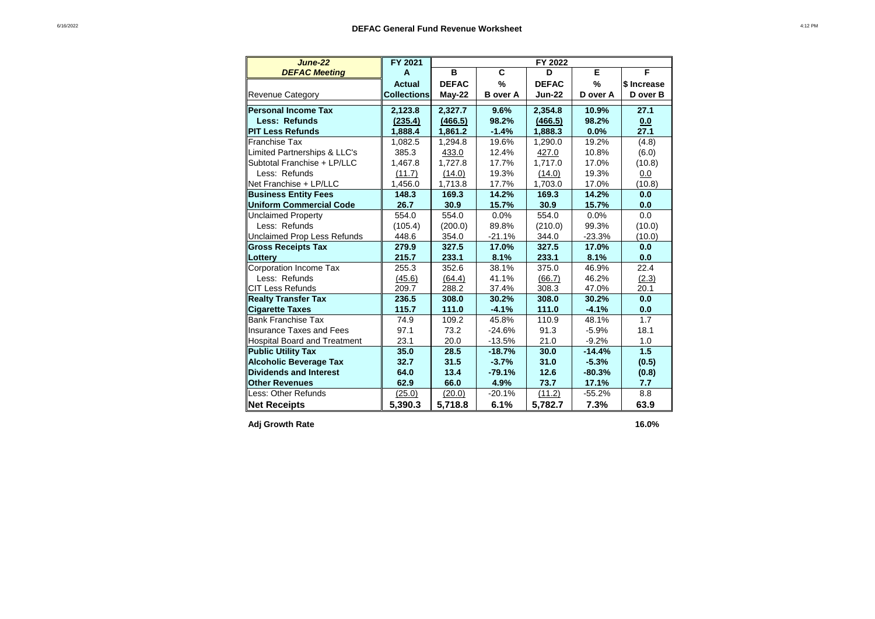| <b>June-22</b>                     | FY 2021            | FY 2022      |                 |               |               |             |  |  |
|------------------------------------|--------------------|--------------|-----------------|---------------|---------------|-------------|--|--|
| <b>DEFAC Meeting</b>               | A                  | B            | C               | D             | Е             | F           |  |  |
|                                    | Actual             | <b>DEFAC</b> | $\%$            | <b>DEFAC</b>  | $\frac{9}{6}$ | \$ Increase |  |  |
| <b>Revenue Category</b>            | <b>Collections</b> | $May-22$     | <b>B</b> over A | <b>Jun-22</b> | D over A      | D over B    |  |  |
| Personal Income Tax                | 2,123.8            | 2,327.7      | 9.6%            | 2,354.8       | 10.9%         | 27.1        |  |  |
| Less: Refunds                      | (235.4)            | (466.5)      | 98.2%           | (466.5)       | 98.2%         | 0.0         |  |  |
| <b>PIT Less Refunds</b>            | 1,888.4            | 1,861.2      | $-1.4%$         | 1,888.3       | $0.0\%$       | 27.1        |  |  |
| <b>Franchise Tax</b>               | 1,082.5            | 1,294.8      | 19.6%           | 1,290.0       | 19.2%         | (4.8)       |  |  |
| Limited Partnerships & LLC's       | 385.3              | 433.0        | 12.4%           | 427.0         | 10.8%         | (6.0)       |  |  |
| Subtotal Franchise + LP/LLC        | 1,467.8            | 1,727.8      | 17.7%           | 1,717.0       | 17.0%         | (10.8)      |  |  |
| Less: Refunds                      | (11.7)             | (14.0)       | 19.3%           | (14.0)        | 19.3%         | 0.0         |  |  |
| Net Franchise + LP/LLC             | 1,456.0            | 1,713.8      | 17.7%           | 1,703.0       | 17.0%         | (10.8)      |  |  |
| <b>Business Entity Fees</b>        | 148.3              | 169.3        | 14.2%           | 169.3         | 14.2%         | 0.0         |  |  |
| <b>Uniform Commercial Code</b>     | 26.7               | 30.9         | 15.7%           | 30.9          | 15.7%         | 0.0         |  |  |
| <b>Unclaimed Property</b>          | 554.0              | 554.0        | 0.0%            | 554.0         | 0.0%          | 0.0         |  |  |
| Less: Refunds                      | (105.4)            | (200.0)      | 89.8%           | (210.0)       | 99.3%         | (10.0)      |  |  |
| <b>Unclaimed Prop Less Refunds</b> | 448.6              | 354.0        | $-21.1%$        | 344.0         | $-23.3%$      | (10.0)      |  |  |
| <b>Gross Receipts Tax</b>          | 279.9              | 327.5        | 17.0%           | 327.5         | 17.0%         | 0.0         |  |  |
| Lottery                            | 215.7              | 233.1        | 8.1%            | 233.1         | 8.1%          | 0.0         |  |  |
| Corporation Income Tax             | 255.3              | 352.6        | 38.1%           | 375.0         | 46.9%         | 22.4        |  |  |
| Less: Refunds                      | (45.6)             | (64.4)       | 41.1%           | (66.7)        | 46.2%         | (2.3)       |  |  |
| <b>CIT Less Refunds</b>            | 209.7              | 288.2        | 37.4%           | 308.3         | 47.0%         | 20.1        |  |  |
| <b>Realty Transfer Tax</b>         | 236.5              | 308.0        | 30.2%           | 308.0         | 30.2%         | 0.0         |  |  |
| <b>Cigarette Taxes</b>             | 115.7              | 111.0        | $-4.1%$         | 111.0         | $-4.1%$       | 0.0         |  |  |
| <b>Bank Franchise Tax</b>          | 74.9               | 109.2        | 45.8%           | 110.9         | 48.1%         | 1.7         |  |  |
| <b>Insurance Taxes and Fees</b>    | 97.1               | 73.2         | $-24.6%$        | 91.3          | $-5.9%$       | 18.1        |  |  |
| Hospital Board and Treatment       | 23.1               | 20.0         | $-13.5%$        | 21.0          | $-9.2%$       | 1.0         |  |  |
| <b>Public Utility Tax</b>          | 35.0               | 28.5         | $-18.7%$        | 30.0          | $-14.4%$      | 1.5         |  |  |
| <b>Alcoholic Beverage Tax</b>      | 32.7               | 31.5         | $-3.7%$         | 31.0          | $-5.3%$       | (0.5)       |  |  |
| Dividends and Interest             | 64.0               | 13.4         | $-79.1%$        | 12.6          | $-80.3%$      | (0.8)       |  |  |
| <b>Other Revenues</b>              | 62.9               | 66.0         | 4.9%            | 73.7          | 17.1%         | 7.7         |  |  |
| Less: Other Refunds                | (25.0)             | (20.0)       | $-20.1%$        | (11.2)        | $-55.2%$      | 8.8         |  |  |
| <b>Net Receipts</b>                | 5,390.3            | 5,718.8      | 6.1%            | 5,782.7       | 7.3%          | 63.9        |  |  |

Adj Growth Rate 16.0%